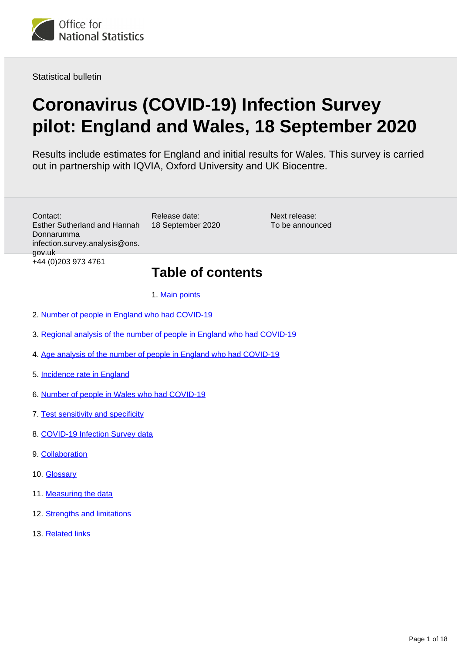

Statistical bulletin

# **Coronavirus (COVID-19) Infection Survey pilot: England and Wales, 18 September 2020**

Results include estimates for England and initial results for Wales. This survey is carried out in partnership with IQVIA, Oxford University and UK Biocentre.

Contact: Esther Sutherland and Hannah Donnarumma infection.survey.analysis@ons. gov.uk +44 (0)203 973 4761

Release date: 18 September 2020 Next release: To be announced

## **Table of contents**

#### 1. [Main points](#page-1-0)

- 2. [Number of people in England who had COVID-19](#page-2-0)
- 3. [Regional analysis of the number of people in England who had COVID-19](#page-5-0)
- 4. [Age analysis of the number of people in England who had COVID-19](#page-7-0)
- 5. [Incidence rate in England](#page-8-0)
- 6. [Number of people in Wales who had COVID-19](#page-9-0)
- 7. [Test sensitivity and specificity](#page-12-0)
- 8. [COVID-19 Infection Survey data](#page-12-1)
- 9. [Collaboration](#page-12-2)
- 10. [Glossary](#page-12-3)
- 11. [Measuring the data](#page-13-0)
- 12. [Strengths and limitations](#page-17-0)
- 13. [Related links](#page-17-1)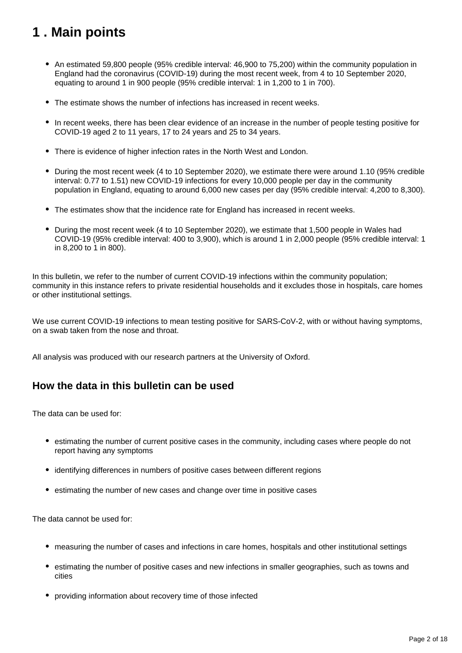## <span id="page-1-0"></span>**1 . Main points**

- An estimated 59,800 people (95% credible interval: 46,900 to 75,200) within the community population in England had the coronavirus (COVID-19) during the most recent week, from 4 to 10 September 2020, equating to around 1 in 900 people (95% credible interval: 1 in 1,200 to 1 in 700).
- The estimate shows the number of infections has increased in recent weeks.
- In recent weeks, there has been clear evidence of an increase in the number of people testing positive for COVID-19 aged 2 to 11 years, 17 to 24 years and 25 to 34 years.
- There is evidence of higher infection rates in the North West and London.
- During the most recent week (4 to 10 September 2020), we estimate there were around 1.10 (95% credible interval: 0.77 to 1.51) new COVID-19 infections for every 10,000 people per day in the community population in England, equating to around 6,000 new cases per day (95% credible interval: 4,200 to 8,300).
- The estimates show that the incidence rate for England has increased in recent weeks.
- During the most recent week (4 to 10 September 2020), we estimate that 1,500 people in Wales had COVID-19 (95% credible interval: 400 to 3,900), which is around 1 in 2,000 people (95% credible interval: 1 in 8,200 to 1 in 800).

In this bulletin, we refer to the number of current COVID-19 infections within the community population; community in this instance refers to private residential households and it excludes those in hospitals, care homes or other institutional settings.

We use current COVID-19 infections to mean testing positive for SARS-CoV-2, with or without having symptoms, on a swab taken from the nose and throat.

All analysis was produced with our research partners at the University of Oxford.

### **How the data in this bulletin can be used**

The data can be used for:

- estimating the number of current positive cases in the community, including cases where people do not report having any symptoms
- identifying differences in numbers of positive cases between different regions
- estimating the number of new cases and change over time in positive cases

The data cannot be used for:

- measuring the number of cases and infections in care homes, hospitals and other institutional settings
- estimating the number of positive cases and new infections in smaller geographies, such as towns and cities
- providing information about recovery time of those infected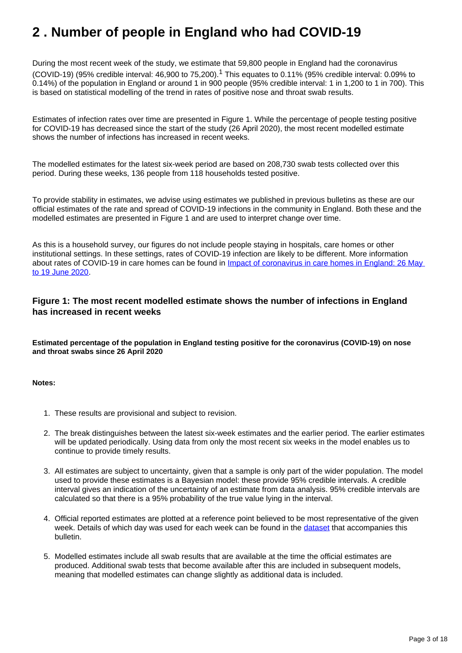## <span id="page-2-0"></span>**2 . Number of people in England who had COVID-19**

During the most recent week of the study, we estimate that 59,800 people in England had the coronavirus (COVID-19) (95% credible interval: 46,900 to 75,200).<sup>1</sup> This equates to 0.11% (95% credible interval: 0.09% to 0.14%) of the population in England or around 1 in 900 people (95% credible interval: 1 in 1,200 to 1 in 700). This is based on statistical modelling of the trend in rates of positive nose and throat swab results.

Estimates of infection rates over time are presented in Figure 1. While the percentage of people testing positive for COVID-19 has decreased since the start of the study (26 April 2020), the most recent modelled estimate shows the number of infections has increased in recent weeks.

The modelled estimates for the latest six-week period are based on 208,730 swab tests collected over this period. During these weeks, 136 people from 118 households tested positive.

To provide stability in estimates, we advise using estimates we published in previous bulletins as these are our official estimates of the rate and spread of COVID-19 infections in the community in England. Both these and the modelled estimates are presented in Figure 1 and are used to interpret change over time.

As this is a household survey, our figures do not include people staying in hospitals, care homes or other institutional settings. In these settings, rates of COVID-19 infection are likely to be different. More information about rates of COVID-19 in care homes can be found in [Impact of coronavirus in care homes in England: 26 May](https://www.ons.gov.uk/peoplepopulationandcommunity/healthandsocialcare/conditionsanddiseases/articles/impactofcoronavirusincarehomesinenglandvivaldi/latest)  [to 19 June 2020](https://www.ons.gov.uk/peoplepopulationandcommunity/healthandsocialcare/conditionsanddiseases/articles/impactofcoronavirusincarehomesinenglandvivaldi/latest).

#### **Figure 1: The most recent modelled estimate shows the number of infections in England has increased in recent weeks**

**Estimated percentage of the population in England testing positive for the coronavirus (COVID-19) on nose and throat swabs since 26 April 2020**

- 1. These results are provisional and subject to revision.
- 2. The break distinguishes between the latest six-week estimates and the earlier period. The earlier estimates will be updated periodically. Using data from only the most recent six weeks in the model enables us to continue to provide timely results.
- 3. All estimates are subject to uncertainty, given that a sample is only part of the wider population. The model used to provide these estimates is a Bayesian model: these provide 95% credible intervals. A credible interval gives an indication of the uncertainty of an estimate from data analysis. 95% credible intervals are calculated so that there is a 95% probability of the true value lying in the interval.
- 4. Official reported estimates are plotted at a reference point believed to be most representative of the given week. Details of which day was used for each week can be found in the [dataset](https://www.ons.gov.uk/peoplepopulationandcommunity/healthandsocialcare/conditionsanddiseases/datasets/coronaviruscovid19infectionsurveydata) that accompanies this bulletin.
- 5. Modelled estimates include all swab results that are available at the time the official estimates are produced. Additional swab tests that become available after this are included in subsequent models, meaning that modelled estimates can change slightly as additional data is included.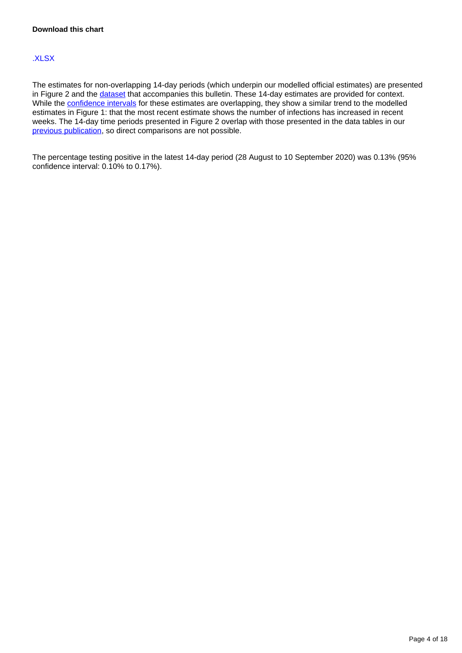#### [.XLSX](https://www.ons.gov.uk/visualisations/dvc986/prvwrapper/datadownload.xlsx)

The estimates for non-overlapping 14-day periods (which underpin our modelled official estimates) are presented in Figure 2 and the [dataset](https://www.ons.gov.uk/peoplepopulationandcommunity/healthandsocialcare/conditionsanddiseases/datasets/coronaviruscovid19infectionsurveydata) that accompanies this bulletin. These 14-day estimates are provided for context. While the [confidence intervals](https://www.ons.gov.uk/methodology/methodologytopicsandstatisticalconcepts/uncertaintyandhowwemeasureit#confidence-interval) for these estimates are overlapping, they show a similar trend to the modelled estimates in Figure 1: that the most recent estimate shows the number of infections has increased in recent weeks. The 14-day time periods presented in Figure 2 overlap with those presented in the data tables in our [previous publication](https://www.ons.gov.uk/peoplepopulationandcommunity/healthandsocialcare/conditionsanddiseases/bulletins/coronaviruscovid19infectionsurveypilot/latest), so direct comparisons are not possible.

The percentage testing positive in the latest 14-day period (28 August to 10 September 2020) was 0.13% (95% confidence interval: 0.10% to 0.17%).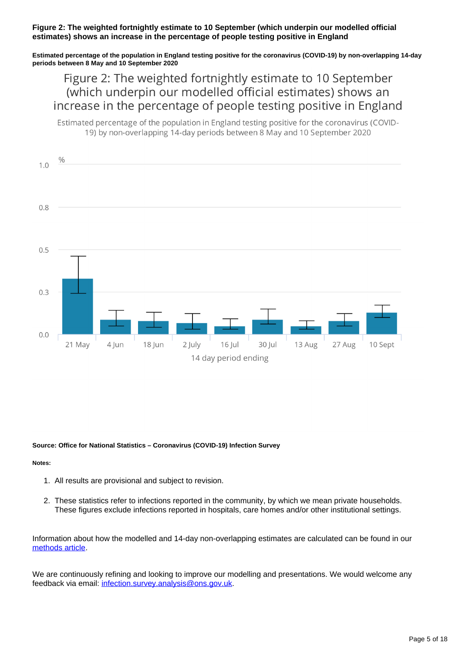#### **Figure 2: The weighted fortnightly estimate to 10 September (which underpin our modelled official estimates) shows an increase in the percentage of people testing positive in England**

**Estimated percentage of the population in England testing positive for the coronavirus (COVID-19) by non-overlapping 14-day periods between 8 May and 10 September 2020**

## Figure 2: The weighted fortnightly estimate to 10 September (which underpin our modelled official estimates) shows an increase in the percentage of people testing positive in England

Estimated percentage of the population in England testing positive for the coronavirus (COVID-19) by non-overlapping 14-day periods between 8 May and 10 September 2020



#### **Source: Office for National Statistics – Coronavirus (COVID-19) Infection Survey**

#### **Notes:**

- 1. All results are provisional and subject to revision.
- 2. These statistics refer to infections reported in the community, by which we mean private households. These figures exclude infections reported in hospitals, care homes and/or other institutional settings.

Information about how the modelled and 14-day non-overlapping estimates are calculated can be found in our [methods article](https://www.ons.gov.uk/peoplepopulationandcommunity/healthandsocialcare/conditionsanddiseases/methodologies/covid19infectionsurveypilotmethodsandfurtherinformation#14-day-estimates).

We are continuously refining and looking to improve our modelling and presentations. We would welcome any feedback via email: [infection.survey.analysis@ons.gov.uk](mailto:infection.survey.analysis@ons.gov.uk).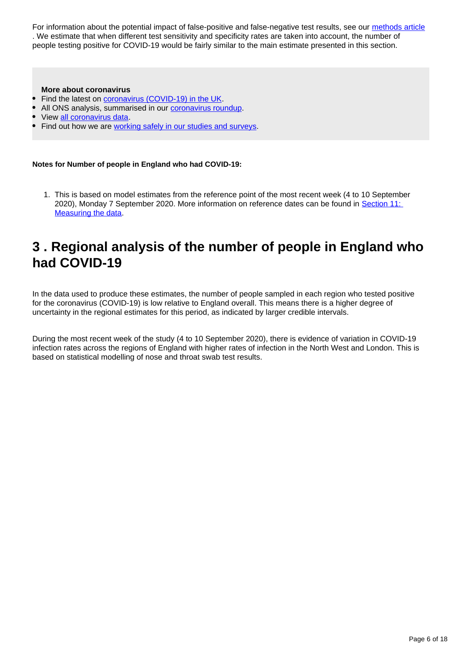For information about the potential impact of false-positive and false-negative test results, see our [methods article](https://www.ons.gov.uk/peoplepopulationandcommunity/healthandsocialcare/conditionsanddiseases/methodologies/covid19infectionsurveypilotmethodsandfurtherinformation#test-sensitivity-and-specificity) . We estimate that when different test sensitivity and specificity rates are taken into account, the number of people testing positive for COVID-19 would be fairly similar to the main estimate presented in this section.

#### **More about coronavirus**

- Find the latest on [coronavirus \(COVID-19\) in the UK.](https://www.ons.gov.uk/peoplepopulationandcommunity/healthandsocialcare/conditionsanddiseases)
- All ONS analysis, summarised in our [coronavirus roundup.](https://www.ons.gov.uk/peoplepopulationandcommunity/healthandsocialcare/conditionsanddiseases/articles/coronaviruscovid19roundup/latest)
- View [all coronavirus data.](https://www.ons.gov.uk/peoplepopulationandcommunity/healthandsocialcare/conditionsanddiseases/datalist)
- Find out how we are [working safely in our studies and surveys.](https://www.ons.gov.uk/news/statementsandletters/ensuringyoursafetyduringcovid19)

**Notes for Number of people in England who had COVID-19:**

1. This is based on model estimates from the reference point of the most recent week (4 to 10 September 2020), Monday 7 September 2020. More information on reference dates can be found in [Section 11:](https://www.ons.gov.uk/peoplepopulationandcommunity/healthandsocialcare/conditionsanddiseases/bulletins/coronaviruscovid19infectionsurveypilot/englandandwales18september2020#measuring-the-data)  [Measuring the data.](https://www.ons.gov.uk/peoplepopulationandcommunity/healthandsocialcare/conditionsanddiseases/bulletins/coronaviruscovid19infectionsurveypilot/englandandwales18september2020#measuring-the-data)

## <span id="page-5-0"></span>**3 . Regional analysis of the number of people in England who had COVID-19**

In the data used to produce these estimates, the number of people sampled in each region who tested positive for the coronavirus (COVID-19) is low relative to England overall. This means there is a higher degree of uncertainty in the regional estimates for this period, as indicated by larger credible intervals.

During the most recent week of the study (4 to 10 September 2020), there is evidence of variation in COVID-19 infection rates across the regions of England with higher rates of infection in the North West and London. This is based on statistical modelling of nose and throat swab test results.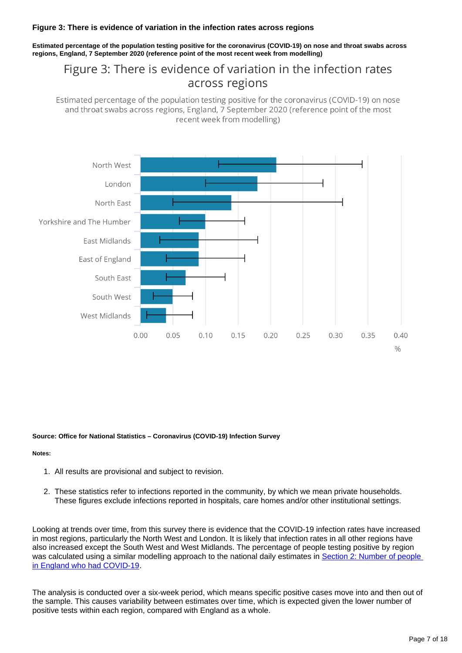#### **Figure 3: There is evidence of variation in the infection rates across regions**

**Estimated percentage of the population testing positive for the coronavirus (COVID-19) on nose and throat swabs across regions, England, 7 September 2020 (reference point of the most recent week from modelling)**

## Figure 3: There is evidence of variation in the infection rates across regions

Estimated percentage of the population testing positive for the coronavirus (COVID-19) on nose and throat swabs across regions, England, 7 September 2020 (reference point of the most recent week from modelling)



#### **Source: Office for National Statistics – Coronavirus (COVID-19) Infection Survey**

#### **Notes:**

- 1. All results are provisional and subject to revision.
- 2. These statistics refer to infections reported in the community, by which we mean private households. These figures exclude infections reported in hospitals, care homes and/or other institutional settings.

Looking at trends over time, from this survey there is evidence that the COVID-19 infection rates have increased in most regions, particularly the North West and London. It is likely that infection rates in all other regions have also increased except the South West and West Midlands. The percentage of people testing positive by region was calculated using a similar modelling approach to the national daily estimates in [Section 2: Number of people](https://www.ons.gov.uk/peoplepopulationandcommunity/healthandsocialcare/conditionsanddiseases/bulletins/coronaviruscovid19infectionsurveypilot/englandandwales18september2020#number-of-people-in-england-who-had-covid-19)  [in England who had COVID-19.](https://www.ons.gov.uk/peoplepopulationandcommunity/healthandsocialcare/conditionsanddiseases/bulletins/coronaviruscovid19infectionsurveypilot/englandandwales18september2020#number-of-people-in-england-who-had-covid-19)

The analysis is conducted over a six-week period, which means specific positive cases move into and then out of the sample. This causes variability between estimates over time, which is expected given the lower number of positive tests within each region, compared with England as a whole.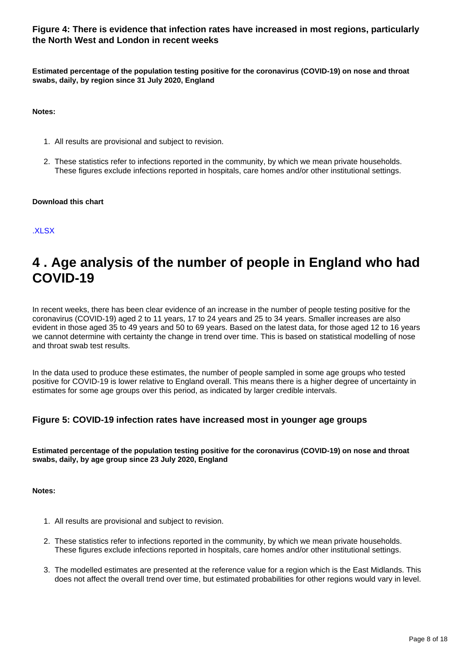#### **Figure 4: There is evidence that infection rates have increased in most regions, particularly the North West and London in recent weeks**

**Estimated percentage of the population testing positive for the coronavirus (COVID-19) on nose and throat swabs, daily, by region since 31 July 2020, England**

**Notes:**

- 1. All results are provisional and subject to revision.
- 2. These statistics refer to infections reported in the community, by which we mean private households. These figures exclude infections reported in hospitals, care homes and/or other institutional settings.

#### **Download this chart**

#### [.XLSX](https://www.ons.gov.uk/visualisations/dvc986/region/datadownload.xlsx)

## <span id="page-7-0"></span>**4 . Age analysis of the number of people in England who had COVID-19**

In recent weeks, there has been clear evidence of an increase in the number of people testing positive for the coronavirus (COVID-19) aged 2 to 11 years, 17 to 24 years and 25 to 34 years. Smaller increases are also evident in those aged 35 to 49 years and 50 to 69 years. Based on the latest data, for those aged 12 to 16 years we cannot determine with certainty the change in trend over time. This is based on statistical modelling of nose and throat swab test results.

In the data used to produce these estimates, the number of people sampled in some age groups who tested positive for COVID-19 is lower relative to England overall. This means there is a higher degree of uncertainty in estimates for some age groups over this period, as indicated by larger credible intervals.

#### **Figure 5: COVID-19 infection rates have increased most in younger age groups**

**Estimated percentage of the population testing positive for the coronavirus (COVID-19) on nose and throat swabs, daily, by age group since 23 July 2020, England**

- 1. All results are provisional and subject to revision.
- 2. These statistics refer to infections reported in the community, by which we mean private households. These figures exclude infections reported in hospitals, care homes and/or other institutional settings.
- 3. The modelled estimates are presented at the reference value for a region which is the East Midlands. This does not affect the overall trend over time, but estimated probabilities for other regions would vary in level.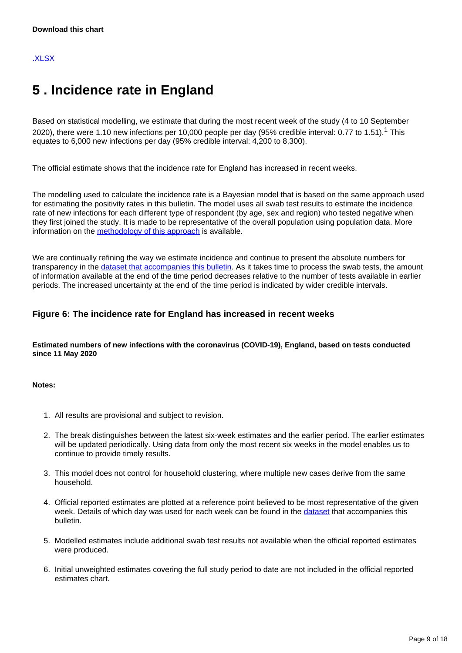## <span id="page-8-0"></span>**5 . Incidence rate in England**

Based on statistical modelling, we estimate that during the most recent week of the study (4 to 10 September 2020), there were 1.10 new infections per 10,000 people per day (95% credible interval: 0.77 to 1.51).<sup>1</sup> This equates to 6,000 new infections per day (95% credible interval: 4,200 to 8,300).

The official estimate shows that the incidence rate for England has increased in recent weeks.

The modelling used to calculate the incidence rate is a Bayesian model that is based on the same approach used for estimating the positivity rates in this bulletin. The model uses all swab test results to estimate the incidence rate of new infections for each different type of respondent (by age, sex and region) who tested negative when they first joined the study. It is made to be representative of the overall population using population data. More information on the [methodology of this approach](https://www.ons.gov.uk/peoplepopulationandcommunity/healthandsocialcare/conditionsanddiseases/methodologies/covid19infectionsurveypilotmethodsandfurtherinformation) is available.

We are continually refining the way we estimate incidence and continue to present the absolute numbers for transparency in the [dataset that accompanies this bulletin.](https://www.ons.gov.uk/peoplepopulationandcommunity/healthandsocialcare/conditionsanddiseases/datasets/coronaviruscovid19infectionsurveydata) As it takes time to process the swab tests, the amount of information available at the end of the time period decreases relative to the number of tests available in earlier periods. The increased uncertainty at the end of the time period is indicated by wider credible intervals.

#### **Figure 6: The incidence rate for England has increased in recent weeks**

**Estimated numbers of new infections with the coronavirus (COVID-19), England, based on tests conducted since 11 May 2020**

- 1. All results are provisional and subject to revision.
- 2. The break distinguishes between the latest six-week estimates and the earlier period. The earlier estimates will be updated periodically. Using data from only the most recent six weeks in the model enables us to continue to provide timely results.
- 3. This model does not control for household clustering, where multiple new cases derive from the same household.
- 4. Official reported estimates are plotted at a reference point believed to be most representative of the given week. Details of which day was used for each week can be found in the [dataset](https://www.ons.gov.uk/peoplepopulationandcommunity/healthandsocialcare/conditionsanddiseases/datasets/coronaviruscovid19infectionsurveydata) that accompanies this bulletin.
- 5. Modelled estimates include additional swab test results not available when the official reported estimates were produced.
- 6. Initial unweighted estimates covering the full study period to date are not included in the official reported estimates chart.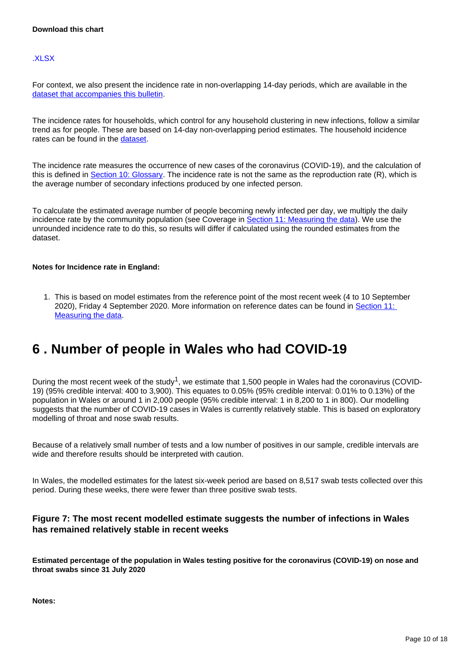[.XLSX](https://www.ons.gov.uk/visualisations/dvc986/incwrapper/datadownload.xlsx)

For context, we also present the incidence rate in non-overlapping 14-day periods, which are available in the [dataset that accompanies this bulletin](https://www.ons.gov.uk/peoplepopulationandcommunity/healthandsocialcare/conditionsanddiseases/datasets/coronaviruscovid19infectionsurveydata).

The incidence rates for households, which control for any household clustering in new infections, follow a similar trend as for people. These are based on 14-day non-overlapping period estimates. The household incidence rates can be found in the [dataset.](https://www.ons.gov.uk/peoplepopulationandcommunity/healthandsocialcare/conditionsanddiseases/datasets/coronaviruscovid19infectionsurveydata)

The incidence rate measures the occurrence of new cases of the coronavirus (COVID-19), and the calculation of this is defined in **[Section 10: Glossary](https://www.ons.gov.uk/peoplepopulationandcommunity/healthandsocialcare/conditionsanddiseases/bulletins/coronaviruscovid19infectionsurveypilot/englandandwales18september2020#glossary)**. The incidence rate is not the same as the reproduction rate (R), which is the average number of secondary infections produced by one infected person.

To calculate the estimated average number of people becoming newly infected per day, we multiply the daily incidence rate by the community population (see Coverage in [Section 11: Measuring the data\)](https://www.ons.gov.uk/peoplepopulationandcommunity/healthandsocialcare/conditionsanddiseases/bulletins/coronaviruscovid19infectionsurveypilot/englandandwales18september2020#measuring-the-data). We use the unrounded incidence rate to do this, so results will differ if calculated using the rounded estimates from the dataset.

#### **Notes for Incidence rate in England:**

1. This is based on model estimates from the reference point of the most recent week (4 to 10 September 2020), Friday 4 September 2020. More information on reference dates can be found in [Section 11:](https://www.ons.gov.uk/peoplepopulationandcommunity/healthandsocialcare/conditionsanddiseases/bulletins/coronaviruscovid19infectionsurveypilot/englandandwales18september2020#measuring-the-data)  [Measuring the data.](https://www.ons.gov.uk/peoplepopulationandcommunity/healthandsocialcare/conditionsanddiseases/bulletins/coronaviruscovid19infectionsurveypilot/englandandwales18september2020#measuring-the-data)

## <span id="page-9-0"></span>**6 . Number of people in Wales who had COVID-19**

During the most recent week of the study<sup>1</sup>, we estimate that 1,500 people in Wales had the coronavirus (COVID-19) (95% credible interval: 400 to 3,900). This equates to 0.05% (95% credible interval: 0.01% to 0.13%) of the population in Wales or around 1 in 2,000 people (95% credible interval: 1 in 8,200 to 1 in 800). Our modelling suggests that the number of COVID-19 cases in Wales is currently relatively stable. This is based on exploratory modelling of throat and nose swab results.

Because of a relatively small number of tests and a low number of positives in our sample, credible intervals are wide and therefore results should be interpreted with caution.

In Wales, the modelled estimates for the latest six-week period are based on 8,517 swab tests collected over this period. During these weeks, there were fewer than three positive swab tests.

#### **Figure 7: The most recent modelled estimate suggests the number of infections in Wales has remained relatively stable in recent weeks**

**Estimated percentage of the population in Wales testing positive for the coronavirus (COVID-19) on nose and throat swabs since 31 July 2020**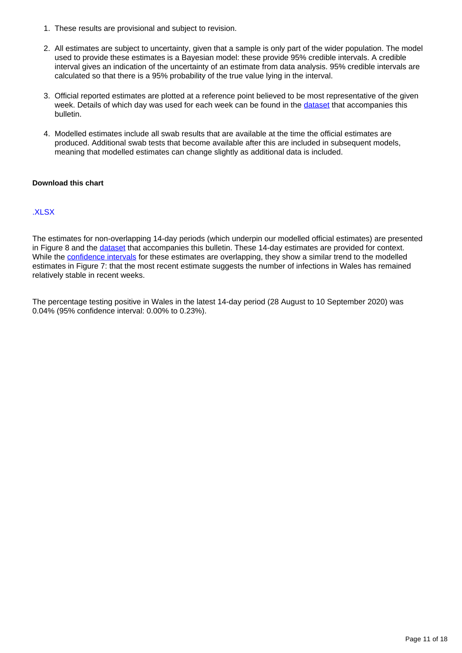- 1. These results are provisional and subject to revision.
- 2. All estimates are subject to uncertainty, given that a sample is only part of the wider population. The model used to provide these estimates is a Bayesian model: these provide 95% credible intervals. A credible interval gives an indication of the uncertainty of an estimate from data analysis. 95% credible intervals are calculated so that there is a 95% probability of the true value lying in the interval.
- 3. Official reported estimates are plotted at a reference point believed to be most representative of the given week. Details of which day was used for each week can be found in the [dataset](https://www.ons.gov.uk/peoplepopulationandcommunity/healthandsocialcare/conditionsanddiseases/datasets/coronaviruscovid19infectionsurveydata) that accompanies this bulletin.
- 4. Modelled estimates include all swab results that are available at the time the official estimates are produced. Additional swab tests that become available after this are included in subsequent models, meaning that modelled estimates can change slightly as additional data is included.

#### **Download this chart**

#### [.XLSX](https://www.ons.gov.uk/visualisations/dvc986/prvwaleswrapper/datadownload.xlsx)

The estimates for non-overlapping 14-day periods (which underpin our modelled official estimates) are presented in Figure 8 and the [dataset](https://www.ons.gov.uk/peoplepopulationandcommunity/healthandsocialcare/conditionsanddiseases/datasets/coronaviruscovid19infectionsurveydata) that accompanies this bulletin. These 14-day estimates are provided for context. While the [confidence intervals](https://www.ons.gov.uk/methodology/methodologytopicsandstatisticalconcepts/uncertaintyandhowwemeasureit#confidence-interval) for these estimates are overlapping, they show a similar trend to the modelled estimates in Figure 7: that the most recent estimate suggests the number of infections in Wales has remained relatively stable in recent weeks.

The percentage testing positive in Wales in the latest 14-day period (28 August to 10 September 2020) was 0.04% (95% confidence interval: 0.00% to 0.23%).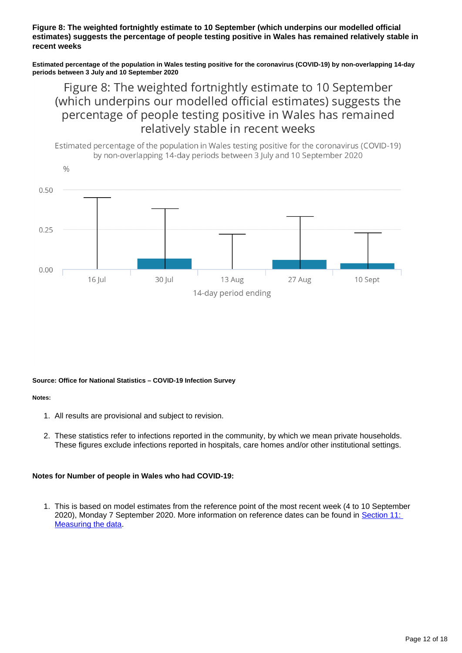**Figure 8: The weighted fortnightly estimate to 10 September (which underpins our modelled official estimates) suggests the percentage of people testing positive in Wales has remained relatively stable in recent weeks**

**Estimated percentage of the population in Wales testing positive for the coronavirus (COVID-19) by non-overlapping 14-day periods between 3 July and 10 September 2020**

Figure 8: The weighted fortnightly estimate to 10 September (which underpins our modelled official estimates) suggests the percentage of people testing positive in Wales has remained relatively stable in recent weeks



#### **Source: Office for National Statistics – COVID-19 Infection Survey**

#### **Notes:**

- 1. All results are provisional and subject to revision.
- 2. These statistics refer to infections reported in the community, by which we mean private households. These figures exclude infections reported in hospitals, care homes and/or other institutional settings.

#### **Notes for Number of people in Wales who had COVID-19:**

1. This is based on model estimates from the reference point of the most recent week (4 to 10 September 2020), Monday 7 September 2020. More information on reference dates can be found in [Section 11:](https://www.ons.gov.uk/peoplepopulationandcommunity/healthandsocialcare/conditionsanddiseases/bulletins/coronaviruscovid19infectionsurveypilot/englandandwales18september2020#measuring-the-data)  [Measuring the data.](https://www.ons.gov.uk/peoplepopulationandcommunity/healthandsocialcare/conditionsanddiseases/bulletins/coronaviruscovid19infectionsurveypilot/englandandwales18september2020#measuring-the-data)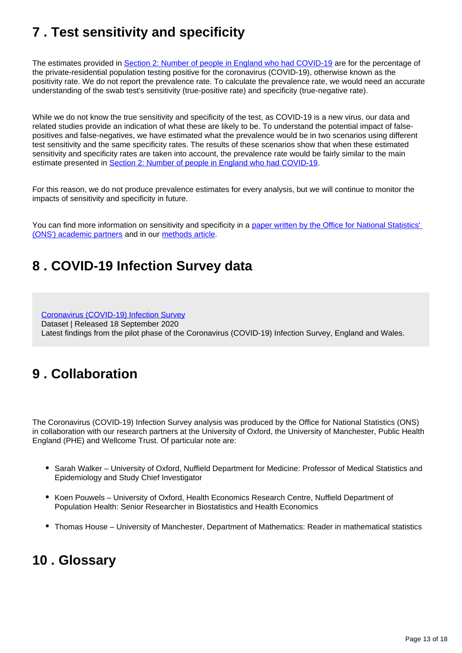## <span id="page-12-0"></span>**7 . Test sensitivity and specificity**

The estimates provided in [Section 2: Number of people in England who had COVID-19](https://www.ons.gov.uk/peoplepopulationandcommunity/healthandsocialcare/conditionsanddiseases/bulletins/coronaviruscovid19infectionsurveypilot/englandandwales18september2020#number-of-people-in-england-who-had-covid-19) are for the percentage of the private-residential population testing positive for the coronavirus (COVID-19), otherwise known as the positivity rate. We do not report the prevalence rate. To calculate the prevalence rate, we would need an accurate understanding of the swab test's sensitivity (true-positive rate) and specificity (true-negative rate).

While we do not know the true sensitivity and specificity of the test, as COVID-19 is a new virus, our data and related studies provide an indication of what these are likely to be. To understand the potential impact of falsepositives and false-negatives, we have estimated what the prevalence would be in two scenarios using different test sensitivity and the same specificity rates. The results of these scenarios show that when these estimated sensitivity and specificity rates are taken into account, the prevalence rate would be fairly similar to the main estimate presented in [Section 2: Number of people in England who had COVID-19.](https://www.ons.gov.uk/peoplepopulationandcommunity/healthandsocialcare/conditionsanddiseases/bulletins/coronaviruscovid19infectionsurveypilot/englandandwales18september2020#number-of-people-in-england-who-had-covid-19)

For this reason, we do not produce prevalence estimates for every analysis, but we will continue to monitor the impacts of sensitivity and specificity in future.

You can find more information on sensitivity and specificity in a paper written by the Office for National Statistics' [\(ONS'\) academic partners](https://www.medrxiv.org/content/10.1101/2020.07.06.20147348v1) and in our [methods article](https://www.ons.gov.uk/peoplepopulationandcommunity/healthandsocialcare/conditionsanddiseases/methodologies/covid19infectionsurveypilotmethodsandfurtherinformation#test-sensitivity-and-specificity).

## <span id="page-12-1"></span>**8 . COVID-19 Infection Survey data**

[Coronavirus \(COVID-19\) Infection Survey](https://www.ons.gov.uk/peoplepopulationandcommunity/healthandsocialcare/conditionsanddiseases/datasets/coronaviruscovid19infectionsurveydata) Dataset | Released 18 September 2020 Latest findings from the pilot phase of the Coronavirus (COVID-19) Infection Survey, England and Wales.

## <span id="page-12-2"></span>**9 . Collaboration**

The Coronavirus (COVID-19) Infection Survey analysis was produced by the Office for National Statistics (ONS) in collaboration with our research partners at the University of Oxford, the University of Manchester, Public Health England (PHE) and Wellcome Trust. Of particular note are:

- Sarah Walker University of Oxford, Nuffield Department for Medicine: Professor of Medical Statistics and Epidemiology and Study Chief Investigator
- Koen Pouwels University of Oxford, Health Economics Research Centre, Nuffield Department of Population Health: Senior Researcher in Biostatistics and Health Economics
- Thomas House University of Manchester, Department of Mathematics: Reader in mathematical statistics

## <span id="page-12-3"></span>**10 . Glossary**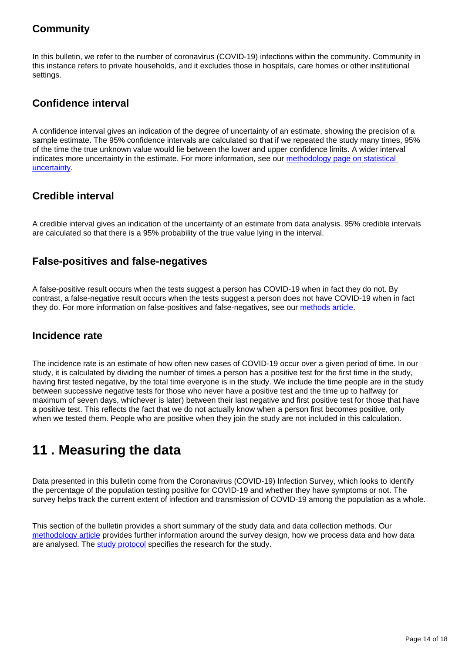## **Community**

In this bulletin, we refer to the number of coronavirus (COVID-19) infections within the community. Community in this instance refers to private households, and it excludes those in hospitals, care homes or other institutional settings.

### **Confidence interval**

A confidence interval gives an indication of the degree of uncertainty of an estimate, showing the precision of a sample estimate. The 95% confidence intervals are calculated so that if we repeated the study many times, 95% of the time the true unknown value would lie between the lower and upper confidence limits. A wider interval indicates more uncertainty in the estimate. For more information, see our methodology page on statistical [uncertainty](https://www.ons.gov.uk/methodology/methodologytopicsandstatisticalconcepts/uncertaintyandhowwemeasureit).

### **Credible interval**

A credible interval gives an indication of the uncertainty of an estimate from data analysis. 95% credible intervals are calculated so that there is a 95% probability of the true value lying in the interval.

### **False-positives and false-negatives**

A false-positive result occurs when the tests suggest a person has COVID-19 when in fact they do not. By contrast, a false-negative result occurs when the tests suggest a person does not have COVID-19 when in fact they do. For more information on false-positives and false-negatives, see our [methods article](https://www.ons.gov.uk/peoplepopulationandcommunity/healthandsocialcare/conditionsanddiseases/methodologies/covid19infectionsurveypilotmethodsandfurtherinformation#test-sensitivity-and-specificity).

### **Incidence rate**

The incidence rate is an estimate of how often new cases of COVID-19 occur over a given period of time. In our study, it is calculated by dividing the number of times a person has a positive test for the first time in the study, having first tested negative, by the total time everyone is in the study. We include the time people are in the study between successive negative tests for those who never have a positive test and the time up to halfway (or maximum of seven days, whichever is later) between their last negative and first positive test for those that have a positive test. This reflects the fact that we do not actually know when a person first becomes positive, only when we tested them. People who are positive when they join the study are not included in this calculation.

## <span id="page-13-0"></span>**11 . Measuring the data**

Data presented in this bulletin come from the Coronavirus (COVID-19) Infection Survey, which looks to identify the percentage of the population testing positive for COVID-19 and whether they have symptoms or not. The survey helps track the current extent of infection and transmission of COVID-19 among the population as a whole.

This section of the bulletin provides a short summary of the study data and data collection methods. Our [methodology article](https://www.ons.gov.uk/peoplepopulationandcommunity/healthandsocialcare/conditionsanddiseases/methodologies/covid19infectionsurveypilotmethodsandfurtherinformation) provides further information around the survey design, how we process data and how data are analysed. The [study protocol](https://www.ndm.ox.ac.uk/covid-19/covid-19-infection-survey/protocol-and-information-sheets) specifies the research for the study.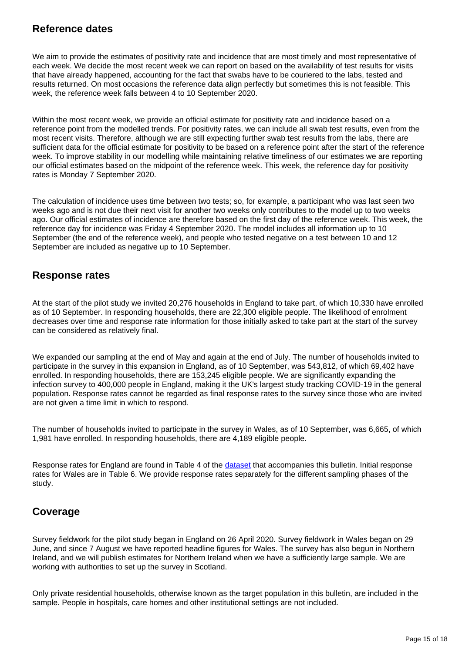### **Reference dates**

We aim to provide the estimates of positivity rate and incidence that are most timely and most representative of each week. We decide the most recent week we can report on based on the availability of test results for visits that have already happened, accounting for the fact that swabs have to be couriered to the labs, tested and results returned. On most occasions the reference data align perfectly but sometimes this is not feasible. This week, the reference week falls between 4 to 10 September 2020.

Within the most recent week, we provide an official estimate for positivity rate and incidence based on a reference point from the modelled trends. For positivity rates, we can include all swab test results, even from the most recent visits. Therefore, although we are still expecting further swab test results from the labs, there are sufficient data for the official estimate for positivity to be based on a reference point after the start of the reference week. To improve stability in our modelling while maintaining relative timeliness of our estimates we are reporting our official estimates based on the midpoint of the reference week. This week, the reference day for positivity rates is Monday 7 September 2020.

The calculation of incidence uses time between two tests; so, for example, a participant who was last seen two weeks ago and is not due their next visit for another two weeks only contributes to the model up to two weeks ago. Our official estimates of incidence are therefore based on the first day of the reference week. This week, the reference day for incidence was Friday 4 September 2020. The model includes all information up to 10 September (the end of the reference week), and people who tested negative on a test between 10 and 12 September are included as negative up to 10 September.

### **Response rates**

At the start of the pilot study we invited 20,276 households in England to take part, of which 10,330 have enrolled as of 10 September. In responding households, there are 22,300 eligible people. The likelihood of enrolment decreases over time and response rate information for those initially asked to take part at the start of the survey can be considered as relatively final.

We expanded our sampling at the end of May and again at the end of July. The number of households invited to participate in the survey in this expansion in England, as of 10 September, was 543,812, of which 69,402 have enrolled. In responding households, there are 153,245 eligible people. We are significantly expanding the infection survey to 400,000 people in England, making it the UK's largest study tracking COVID-19 in the general population. Response rates cannot be regarded as final response rates to the survey since those who are invited are not given a time limit in which to respond.

The number of households invited to participate in the survey in Wales, as of 10 September, was 6,665, of which 1,981 have enrolled. In responding households, there are 4,189 eligible people.

Response rates for England are found in Table 4 of the [dataset](https://www.ons.gov.uk/peoplepopulationandcommunity/healthandsocialcare/conditionsanddiseases/datasets/coronaviruscovid19infectionsurveydata) that accompanies this bulletin. Initial response rates for Wales are in Table 6. We provide response rates separately for the different sampling phases of the study.

### **Coverage**

Survey fieldwork for the pilot study began in England on 26 April 2020. Survey fieldwork in Wales began on 29 June, and since 7 August we have reported headline figures for Wales. The survey has also begun in Northern Ireland, and we will publish estimates for Northern Ireland when we have a sufficiently large sample. We are working with authorities to set up the survey in Scotland.

Only private residential households, otherwise known as the target population in this bulletin, are included in the sample. People in hospitals, care homes and other institutional settings are not included.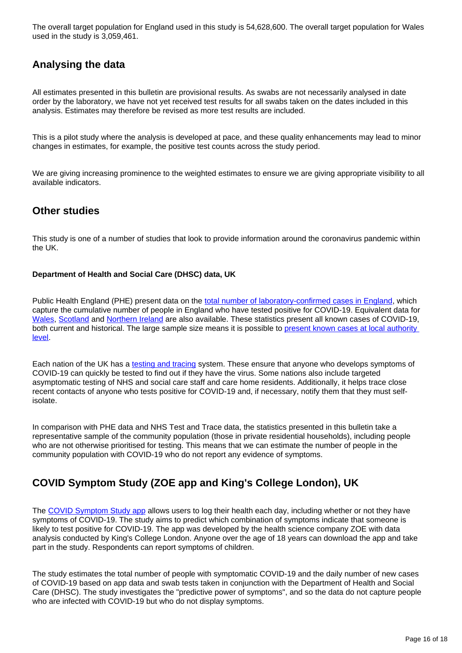The overall target population for England used in this study is 54,628,600. The overall target population for Wales used in the study is 3,059,461.

## **Analysing the data**

All estimates presented in this bulletin are provisional results. As swabs are not necessarily analysed in date order by the laboratory, we have not yet received test results for all swabs taken on the dates included in this analysis. Estimates may therefore be revised as more test results are included.

This is a pilot study where the analysis is developed at pace, and these quality enhancements may lead to minor changes in estimates, for example, the positive test counts across the study period.

We are giving increasing prominence to the weighted estimates to ensure we are giving appropriate visibility to all available indicators.

### **Other studies**

This study is one of a number of studies that look to provide information around the coronavirus pandemic within the UK.

#### **Department of Health and Social Care (DHSC) data, UK**

Public Health England (PHE) present data on the [total number of laboratory-confirmed cases in England,](https://www.gov.uk/government/publications/national-covid-19-surveillance-reports) which capture the cumulative number of people in England who have tested positive for COVID-19. Equivalent data for [Wales,](https://public.tableau.com/profile/public.health.wales.health.protection#!/vizhome/RapidCOVID-19virology-Public/Headlinesummary) [Scotland](https://www.gov.scot/publications/coronavirus-covid-19-daily-data-for-scotland/) and [Northern Ireland](https://app.powerbi.com/view?r=eyJrIjoiZGYxNjYzNmUtOTlmZS00ODAxLWE1YTEtMjA0NjZhMzlmN2JmIiwidCI6IjljOWEzMGRlLWQ4ZDctNGFhNC05NjAwLTRiZTc2MjVmZjZjNSIsImMiOjh9) are also available. These statistics present all known cases of COVID-19, both current and historical. The large sample size means it is possible to [present known cases at local authority](https://coronavirus.data.gov.uk/#category=ltlas&map=rate)  [level.](https://coronavirus.data.gov.uk/#category=ltlas&map=rate)

Each nation of the UK has a [testing and tracing](https://www.gov.uk/government/publications/nhs-test-and-trace-statistics-england-25-june-to-1-july-2020) system. These ensure that anyone who develops symptoms of COVID-19 can quickly be tested to find out if they have the virus. Some nations also include targeted asymptomatic testing of NHS and social care staff and care home residents. Additionally, it helps trace close recent contacts of anyone who tests positive for COVID-19 and, if necessary, notify them that they must selfisolate.

In comparison with PHE data and NHS Test and Trace data, the statistics presented in this bulletin take a representative sample of the community population (those in private residential households), including people who are not otherwise prioritised for testing. This means that we can estimate the number of people in the community population with COVID-19 who do not report any evidence of symptoms.

### **COVID Symptom Study (ZOE app and King's College London), UK**

The [COVID Symptom Study app](https://covid.joinzoe.com/) allows users to log their health each day, including whether or not they have symptoms of COVID-19. The study aims to predict which combination of symptoms indicate that someone is likely to test positive for COVID-19. The app was developed by the health science company ZOE with data analysis conducted by King's College London. Anyone over the age of 18 years can download the app and take part in the study. Respondents can report symptoms of children.

The study estimates the total number of people with symptomatic COVID-19 and the daily number of new cases of COVID-19 based on app data and swab tests taken in conjunction with the Department of Health and Social Care (DHSC). The study investigates the "predictive power of symptoms", and so the data do not capture people who are infected with COVID-19 but who do not display symptoms.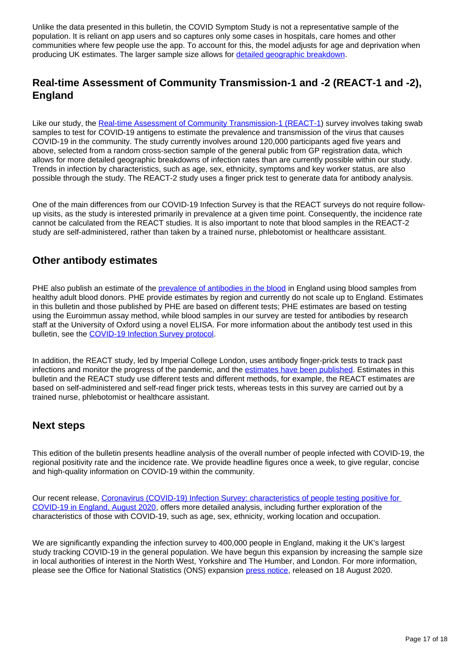Unlike the data presented in this bulletin, the COVID Symptom Study is not a representative sample of the population. It is reliant on app users and so captures only some cases in hospitals, care homes and other communities where few people use the app. To account for this, the model adjusts for age and deprivation when producing UK estimates. The larger sample size allows for [detailed geographic breakdown.](https://covid.joinzoe.com/data)

### **Real-time Assessment of Community Transmission-1 and -2 (REACT-1 and -2), England**

Like our study, the [Real-time Assessment of Community Transmission-1 \(REACT-1\)](https://www.medrxiv.org/content/10.1101/2020.09.11.20192492v2) survey involves taking swab samples to test for COVID-19 antigens to estimate the prevalence and transmission of the virus that causes COVID-19 in the community. The study currently involves around 120,000 participants aged five years and above, selected from a random cross-section sample of the general public from GP registration data, which allows for more detailed geographic breakdowns of infection rates than are currently possible within our study. Trends in infection by characteristics, such as age, sex, ethnicity, symptoms and key worker status, are also possible through the study. The REACT-2 study uses a finger prick test to generate data for antibody analysis.

One of the main differences from our COVID-19 Infection Survey is that the REACT surveys do not require followup visits, as the study is interested primarily in prevalence at a given time point. Consequently, the incidence rate cannot be calculated from the REACT studies. It is also important to note that blood samples in the REACT-2 study are self-administered, rather than taken by a trained nurse, phlebotomist or healthcare assistant.

### **Other antibody estimates**

PHE also publish an estimate of the [prevalence of antibodies in the blood](https://www.gov.uk/government/publications/national-covid-19-surveillance-reports/sero-surveillance-of-covid-19) in England using blood samples from healthy adult blood donors. PHE provide estimates by region and currently do not scale up to England. Estimates in this bulletin and those published by PHE are based on different tests; PHE estimates are based on testing using the Euroimmun assay method, while blood samples in our survey are tested for antibodies by research staff at the University of Oxford using a novel ELISA. For more information about the antibody test used in this bulletin, see the [COVID-19 Infection Survey protocol.](https://www.ndm.ox.ac.uk/protocol-and-information-sheets)

In addition, the REACT study, led by Imperial College London, uses antibody finger-prick tests to track past infections and monitor the progress of the pandemic, and the [estimates have been published.](https://www.imperial.ac.uk/news/201893/largest-study-home-coronavirus-antibody-testing/) Estimates in this bulletin and the REACT study use different tests and different methods, for example, the REACT estimates are based on self-administered and self-read finger prick tests, whereas tests in this survey are carried out by a trained nurse, phlebotomist or healthcare assistant.

### **Next steps**

This edition of the bulletin presents headline analysis of the overall number of people infected with COVID-19, the regional positivity rate and the incidence rate. We provide headline figures once a week, to give regular, concise and high-quality information on COVID-19 within the community.

Our recent release, [Coronavirus \(COVID-19\) Infection Survey: characteristics of people testing positive for](https://www.ons.gov.uk/peoplepopulationandcommunity/healthandsocialcare/conditionsanddiseases/articles/coronaviruscovid19infectionsinthecommunityinengland/characteristicsofpeopletestingpositiveforcovid19inenglandaugust2020)  [COVID-19 in England, August 2020](https://www.ons.gov.uk/peoplepopulationandcommunity/healthandsocialcare/conditionsanddiseases/articles/coronaviruscovid19infectionsinthecommunityinengland/characteristicsofpeopletestingpositiveforcovid19inenglandaugust2020), offers more detailed analysis, including further exploration of the characteristics of those with COVID-19, such as age, sex, ethnicity, working location and occupation.

We are significantly expanding the infection survey to 400,000 people in England, making it the UK's largest study tracking COVID-19 in the general population. We have begun this expansion by increasing the sample size in local authorities of interest in the North West, Yorkshire and The Humber, and London. For more information, please see the Office for National Statistics (ONS) expansion [press notice,](https://www.ons.gov.uk/news/news/newinsightintocovid19tobegainedfromhugeboosttonationaltestingstudyledbytheofficefornationalstatistics) released on 18 August 2020.